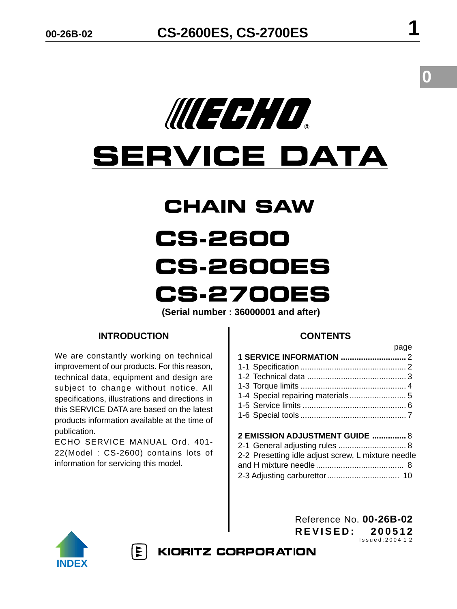

# **SERVICE DATA**

# **CHAIN SAW CS-2600 CS-2600ES CS-2700ES**

**(Serial number : 36000001 and after)**

# **INTRODUCTION**

We are constantly working on technical improvement of our products. For this reason, technical data, equipment and design are subject to change without notice. All specifications, illustrations and directions in this SERVICE DATA are based on the latest products information available at the time of publication.

ECHO SERVICE MANUAL Ord. 401- 22(Model : CS-2600) contains lots of information for servicing this model.

# **CONTENTS**

|                                | page |
|--------------------------------|------|
|                                |      |
|                                |      |
|                                |      |
|                                |      |
|                                |      |
|                                |      |
|                                |      |
|                                |      |
| 2 EMISSION ADJUSTMENT GUIDE  8 |      |

| 2-1 General adjusting rules  8                     |  |
|----------------------------------------------------|--|
| 2-2 Presetting idle adjust screw, L mixture needle |  |
|                                                    |  |
|                                                    |  |



 $|\mathbf{r}|$ 

Reference No. **00-26B-02 REVISED: 200512** Issued:2004 1 2

**KIORITZ CORPORATION** 

**0**

page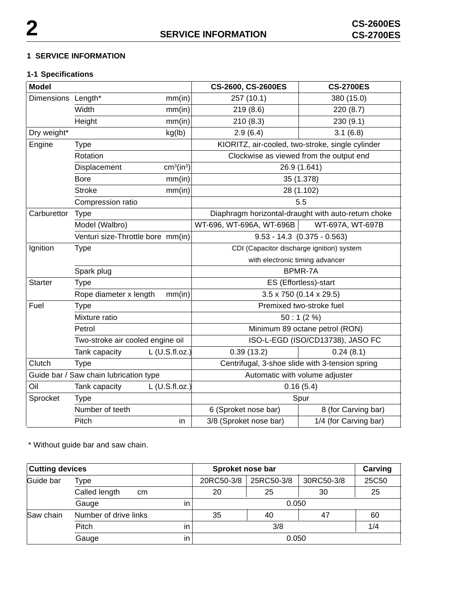### **1 SERVICE INFORMATION**

# **1-1 Specifications**

| <b>Model</b>                           |                                   |                                           | CS-2600, CS-2600ES                               | <b>CS-2700ES</b>                                    |
|----------------------------------------|-----------------------------------|-------------------------------------------|--------------------------------------------------|-----------------------------------------------------|
| Dimensions Length*                     |                                   | mm(in)                                    | 257 (10.1)                                       | 380 (15.0)                                          |
|                                        | Width                             | mm(in)                                    | 219(8.6)                                         | 220 (8.7)                                           |
|                                        | Height                            | mm(in)                                    | 210(8.3)                                         | 230 (9.1)                                           |
| Dry weight*                            |                                   | kg(lb)                                    | 2.9(6.4)                                         | 3.1(6.8)                                            |
| Engine                                 | <b>Type</b>                       |                                           | KIORITZ, air-cooled, two-stroke, single cylinder |                                                     |
|                                        | Rotation                          |                                           |                                                  | Clockwise as viewed from the output end             |
|                                        | Displacement                      | cm <sup>3</sup> (in <sup>3</sup> )        |                                                  | 26.9 (1.641)                                        |
|                                        | <b>Bore</b>                       | mm(in)                                    |                                                  | 35 (1.378)                                          |
|                                        | <b>Stroke</b>                     | mm(in)                                    |                                                  | 28 (1.102)                                          |
|                                        | Compression ratio                 |                                           |                                                  | 5.5                                                 |
| Carburettor                            | <b>Type</b>                       |                                           |                                                  | Diaphragm horizontal-draught with auto-return choke |
|                                        | Model (Walbro)                    |                                           | WT-696, WT-696A, WT-696B                         | WT-697A, WT-697B                                    |
|                                        | Venturi size-Throttle bore mm(in) |                                           |                                                  | $9.53 - 14.3$ $(0.375 - 0.563)$                     |
| Ignition<br><b>Type</b>                |                                   | CDI (Capacitor discharge ignition) system |                                                  |                                                     |
|                                        |                                   |                                           | with electronic timing advancer                  |                                                     |
|                                        | Spark plug                        |                                           |                                                  | BPMR-7A                                             |
| <b>Starter</b>                         | <b>Type</b>                       |                                           |                                                  | ES (Effortless)-start                               |
|                                        | Rope diameter x length            | mm(in)                                    |                                                  | $3.5 \times 750$ (0.14 $\times$ 29.5)               |
| Fuel                                   | <b>Type</b>                       |                                           |                                                  | Premixed two-stroke fuel                            |
|                                        | Mixture ratio                     |                                           |                                                  | 50:1(2%)                                            |
|                                        | Petrol                            |                                           | Minimum 89 octane petrol (RON)                   |                                                     |
|                                        | Two-stroke air cooled engine oil  |                                           | ISO-L-EGD (ISO/CD13738), JASO FC                 |                                                     |
|                                        | Tank capacity                     | $L$ (U.S.fl.oz.)                          | 0.39(13.2)                                       | 0.24(8.1)                                           |
| Clutch                                 | <b>Type</b>                       |                                           |                                                  | Centrifugal, 3-shoe slide with 3-tension spring     |
| Guide bar / Saw chain lubrication type |                                   |                                           | Automatic with volume adjuster                   |                                                     |
| Oil                                    | $L$ (U.S.fl.oz.)<br>Tank capacity |                                           | 0.16(5.4)                                        |                                                     |
| Sprocket                               | <b>Type</b>                       |                                           |                                                  | Spur                                                |
|                                        | Number of teeth                   |                                           | 6 (Sproket nose bar)                             | 8 (for Carving bar)                                 |
|                                        | Pitch                             | in                                        | 3/8 (Sproket nose bar)                           | 1/4 (for Carving bar)                               |

\* Without guide bar and saw chain.

| <b>Cutting devices</b>             |                     |    | Sproket nose bar |            |            | Carving |
|------------------------------------|---------------------|----|------------------|------------|------------|---------|
| Guide bar                          | Type                |    | 20RC50-3/8       | 25RC50-3/8 | 30RC50-3/8 | 25C50   |
|                                    | Called length<br>cm |    | 20               | 25         | 30         | 25      |
| Gauge                              |                     | in | 0.050            |            |            |         |
| Saw chain<br>Number of drive links |                     |    | 35               | 40         | 47         | 60      |
|                                    | Pitch<br>in         |    | 3/8              |            | 1/4        |         |
| Gauge                              |                     | in |                  | 0.050      |            |         |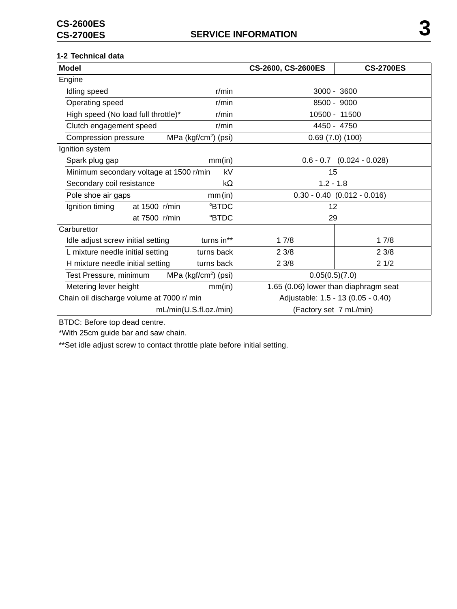### **1-2 Technical data**

| <b>Model</b>                                      |                                  | CS-2600, CS-2600ES | <b>CS-2700ES</b>                      |                               |  |
|---------------------------------------------------|----------------------------------|--------------------|---------------------------------------|-------------------------------|--|
| Engine                                            |                                  |                    |                                       |                               |  |
| Idling speed                                      |                                  | r/min              |                                       | $3000 - 3600$                 |  |
| Operating speed                                   |                                  | r/min              |                                       | 8500 - 9000                   |  |
| High speed (No load full throttle)*               |                                  | r/min              |                                       | 10500 - 11500                 |  |
| Clutch engagement speed                           |                                  | r/min              | 4450 - 4750                           |                               |  |
| Compression pressure                              | MPa (kgf/cm <sup>2</sup> ) (psi) |                    |                                       | 0.69(7.0)(100)                |  |
| Ignition system                                   |                                  |                    |                                       |                               |  |
| Spark plug gap                                    |                                  | mm(in)             |                                       | $0.6 - 0.7$ $(0.024 - 0.028)$ |  |
| Minimum secondary voltage at 1500 r/min           |                                  | kV                 | 15                                    |                               |  |
| Secondary coil resistance                         |                                  | $k\Omega$          | $1.2 - 1.8$                           |                               |  |
| Pole shoe air gaps                                | mm(in)                           |                    | $0.30 - 0.40$ $(0.012 - 0.016)$       |                               |  |
| Ignition timing                                   | at 1500 r/min                    | <b>BTDC</b>        | 12                                    |                               |  |
|                                                   | at 7500 r/min                    | <b>BTDC</b>        | 29                                    |                               |  |
| Carburettor                                       |                                  |                    |                                       |                               |  |
| Idle adjust screw initial setting                 | turns in**                       |                    | 17/8                                  | 17/8                          |  |
| L mixture needle initial setting<br>turns back    |                                  |                    | 23/8                                  | 23/8                          |  |
| H mixture needle initial setting<br>turns back    |                                  | 23/8               | 21/2                                  |                               |  |
| MPa ( $kgf/cm2$ ) (psi)<br>Test Pressure, minimum |                                  | 0.05(0.5)(7.0)     |                                       |                               |  |
| Metering lever height<br>mm(in)                   |                                  |                    | 1.65 (0.06) lower than diaphragm seat |                               |  |
| Chain oil discharge volume at 7000 r/ min         |                                  |                    | Adjustable: 1.5 - 13 (0.05 - 0.40)    |                               |  |
|                                                   | mL/min(U.S.fI.oz./min)           |                    | (Factory set 7 mL/min)                |                               |  |

BTDC: Before top dead centre.

\*With 25cm guide bar and saw chain.

\*\*Set idle adjust screw to contact throttle plate before initial setting.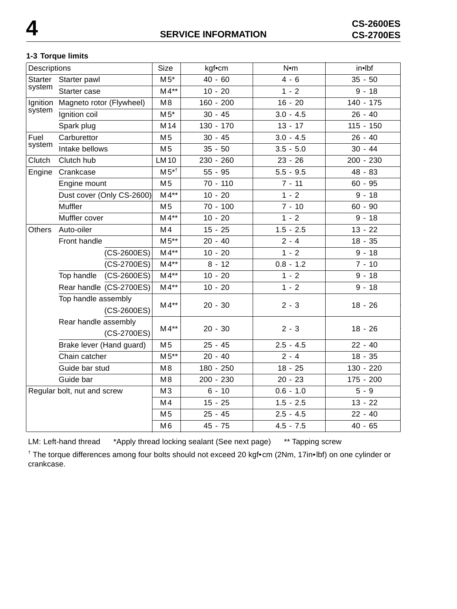#### **1-3 Torque limits**

| Descriptions                                             |                                                                           | Size                      | kgf•cm         | N•m        | in•lbf      |             |
|----------------------------------------------------------|---------------------------------------------------------------------------|---------------------------|----------------|------------|-------------|-------------|
| <b>Starter</b><br>Starter pawl<br>system<br>Starter case |                                                                           | $M5*$                     | $40 - 60$      | $4 - 6$    | $35 - 50$   |             |
|                                                          |                                                                           |                           | $M4**$         | $10 - 20$  | $1 - 2$     | $9 - 18$    |
| Ignition                                                 | Magneto rotor (Flywheel)                                                  |                           | M8             | 160 - 200  | $16 - 20$   | $140 - 175$ |
| system                                                   | Ignition coil                                                             |                           | $M5*$          | $30 - 45$  | $3.0 - 4.5$ | $26 - 40$   |
|                                                          | Spark plug                                                                |                           | M14            | 130 - 170  | $13 - 17$   | $115 - 150$ |
| Fuel                                                     | Carburettor                                                               |                           | M <sub>5</sub> | $30 - 45$  | $3.0 - 4.5$ | $26 - 40$   |
| system                                                   | Intake bellows                                                            |                           | M <sub>5</sub> | $35 - 50$  | $3.5 - 5.0$ | $30 - 44$   |
| Clutch                                                   | Clutch hub                                                                |                           | <b>LM10</b>    | 230 - 260  | $23 - 26$   | 200 - 230   |
| Engine                                                   | Crankcase                                                                 |                           | $M5^{*}$       | $55 - 95$  | $5.5 - 9.5$ | 48 - 83     |
|                                                          | Engine mount                                                              |                           | M <sub>5</sub> | $70 - 110$ | $7 - 11$    | $60 - 95$   |
|                                                          |                                                                           | Dust cover (Only CS-2600) | $M4**$         | $10 - 20$  | $1 - 2$     | $9 - 18$    |
|                                                          | Muffler                                                                   |                           | M <sub>5</sub> | $70 - 100$ | $7 - 10$    | $60 - 90$   |
|                                                          | Muffler cover                                                             |                           | $M4**$         | $10 - 20$  | $1 - 2$     | $9 - 18$    |
| <b>Others</b>                                            | Auto-oiler                                                                |                           | M4             | $15 - 25$  | $1.5 - 2.5$ | $13 - 22$   |
|                                                          | Front handle                                                              |                           | $M5**$         | $20 - 40$  | $2 - 4$     | $18 - 35$   |
|                                                          |                                                                           | (CS-2600ES)               | $M4**$         | $10 - 20$  | $1 - 2$     | $9 - 18$    |
|                                                          | Top handle                                                                | (CS-2700ES)               | $M4**$         | $8 - 12$   | $0.8 - 1.2$ | $7 - 10$    |
|                                                          |                                                                           | $(CS-2600ES)$             | $M4**$         | $10 - 20$  | $1 - 2$     | $9 - 18$    |
|                                                          |                                                                           | Rear handle (CS-2700ES)   | $M4**$         | $10 - 20$  | $1 - 2$     | $9 - 18$    |
|                                                          | Top handle assembly<br>(CS-2600ES)<br>Rear handle assembly<br>(CS-2700ES) |                           | $M4**$         | $20 - 30$  | $2 - 3$     | $18 - 26$   |
|                                                          |                                                                           |                           | $M4**$         | $20 - 30$  | $2 - 3$     | $18 - 26$   |
|                                                          | Brake lever (Hand guard)                                                  |                           | M <sub>5</sub> | $25 - 45$  | $2.5 - 4.5$ | $22 - 40$   |
|                                                          | Chain catcher                                                             |                           | $M5**$         | $20 - 40$  | $2 - 4$     | $18 - 35$   |
|                                                          | Guide bar stud                                                            |                           | M8             | 180 - 250  | $18 - 25$   | 130 - 220   |
|                                                          | Guide bar                                                                 |                           | M <sub>8</sub> | 200 - 230  | $20 - 23$   | $175 - 200$ |
| Regular bolt, nut and screw                              |                                                                           |                           | M3             | $6 - 10$   | $0.6 - 1.0$ | $5 - 9$     |
|                                                          |                                                                           |                           | M <sub>4</sub> | $15 - 25$  | $1.5 - 2.5$ | $13 - 22$   |
|                                                          |                                                                           |                           | M <sub>5</sub> | $25 - 45$  | $2.5 - 4.5$ | $22 - 40$   |
|                                                          |                                                                           |                           | M <sub>6</sub> | 45 - 75    | $4.5 - 7.5$ | $40 - 65$   |

LM: Left-hand thread \*Apply thread locking sealant (See next page) \*\* Tapping screw

† The torque differences among four bolts should not exceed 20 kgf•cm (2Nm, 17in•lbf) on one cylinder or crankcase.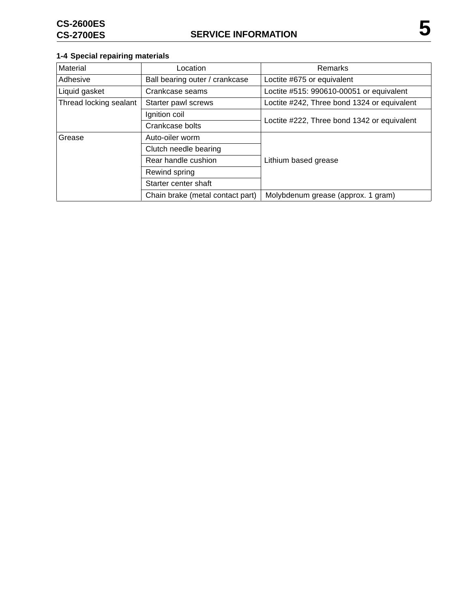# **1-4 Special repairing materials**

| Material                                      | Location                         | <b>Remarks</b>                              |  |
|-----------------------------------------------|----------------------------------|---------------------------------------------|--|
| Adhesive                                      | Ball bearing outer / crankcase   | Loctite #675 or equivalent                  |  |
| Liquid gasket                                 | Crankcase seams                  | Loctite #515: 990610-00051 or equivalent    |  |
| Thread locking sealant<br>Starter pawl screws |                                  | Loctite #242, Three bond 1324 or equivalent |  |
|                                               | Ignition coil                    |                                             |  |
|                                               | Crankcase bolts                  | Loctite #222, Three bond 1342 or equivalent |  |
| Grease                                        | Auto-oiler worm                  | Lithium based grease                        |  |
|                                               | Clutch needle bearing            |                                             |  |
|                                               | Rear handle cushion              |                                             |  |
|                                               | Rewind spring                    |                                             |  |
|                                               | Starter center shaft             |                                             |  |
|                                               | Chain brake (metal contact part) | Molybdenum grease (approx. 1 gram)          |  |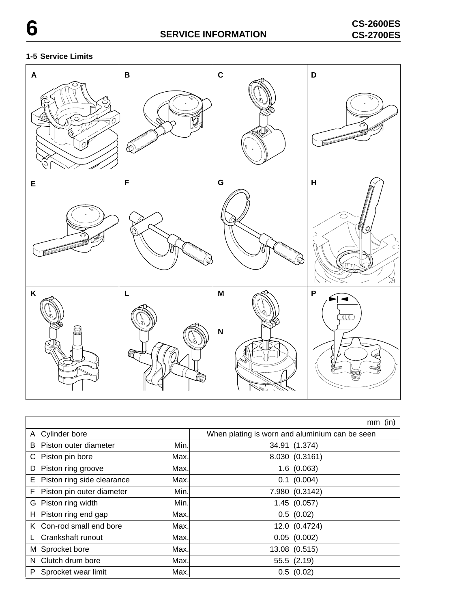# **1-5 Service Limits**



|    |                            |      | (in)<br>mm                                     |
|----|----------------------------|------|------------------------------------------------|
| A  | Cylinder bore              |      | When plating is worn and aluminium can be seen |
| B  | Piston outer diameter      | Min. | 34.91 (1.374)                                  |
| С  | Piston pin bore            | Max. | 8.030 (0.3161)                                 |
| D  | Piston ring groove         | Max. | 1.6(0.063)                                     |
| E  | Piston ring side clearance | Max. | $0.1$ (0.004)                                  |
| F  | Piston pin outer diameter  | Min. | 7.980 (0.3142)                                 |
| G  | Piston ring width          | Min. | 1.45(0.057)                                    |
| H. | Piston ring end gap        | Max. | 0.5(0.02)                                      |
| K  | Con-rod small end bore     | Max. | 12.0 (0.4724)                                  |
|    | Crankshaft runout          | Max. | $0.05$ $(0.002)$                               |
| M  | Sprocket bore              | Max. | 13.08 (0.515)                                  |
| N  | Clutch drum bore           | Max. | 55.5 (2.19)                                    |
| P  | Sprocket wear limit        | Max. | 0.5(0.02)                                      |

7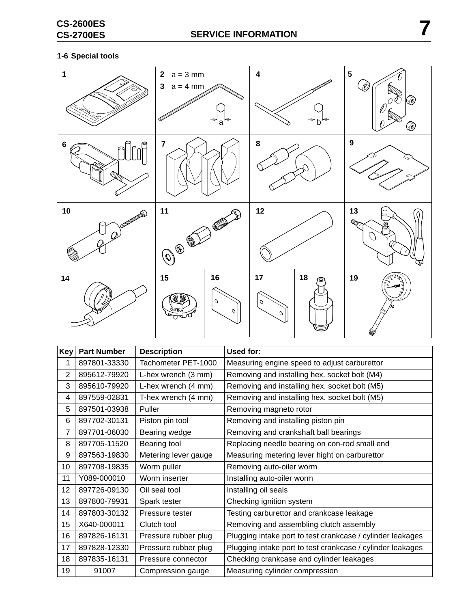# **1-6 Special tools**



| Key            | <b>Part Number</b> | <b>Description</b>   | Used for:                                                  |
|----------------|--------------------|----------------------|------------------------------------------------------------|
| 1              | 897801-33330       | Tachometer PET-1000  | Measuring engine speed to adjust carburettor               |
| 2              | 895612-79920       | L-hex wrench (3 mm)  | Removing and installing hex. socket bolt (M4)              |
| 3              | 895610-79920       | L-hex wrench (4 mm)  | Removing and installing hex. socket bolt (M5)              |
| 4              | 897559-02831       | T-hex wrench (4 mm)  | Removing and installing hex. socket bolt (M5)              |
| 5              | 897501-03938       | Puller               | Removing magneto rotor                                     |
| 6              | 897702-30131       | Piston pin tool      | Removing and installing piston pin                         |
| $\overline{7}$ | 897701-06030       | Bearing wedge        | Removing and crankshaft ball bearings                      |
| 8              | 897705-11520       | Bearing tool         | Replacing needle bearing on con-rod small end              |
| 9              | 897563-19830       | Metering lever gauge | Measuring metering lever hight on carburettor              |
| 10             | 897708-19835       | Worm puller          | Removing auto-oiler worm                                   |
| 11             | Y089-000010        | Worm inserter        | Installing auto-oiler worm                                 |
| 12             | 897726-09130       | Oil seal tool        | Installing oil seals                                       |
| 13             | 897800-79931       | Spark tester         | Checking ignition system                                   |
| 14             | 897803-30132       | Pressure tester      | Testing carburettor and crankcase leakage                  |
| 15             | X640-000011        | Clutch tool          | Removing and assembling clutch assembly                    |
| 16             | 897826-16131       | Pressure rubber plug | Plugging intake port to test crankcase / cylinder leakages |
| 17             | 897828-12330       | Pressure rubber plug | Plugging intake port to test crankcase / cylinder leakages |
| 18             | 897835-16131       | Pressure connector   | Checking crankcase and cylinder leakages                   |
| 19             | 91007              | Compression gauge    | Measuring cylinder compression                             |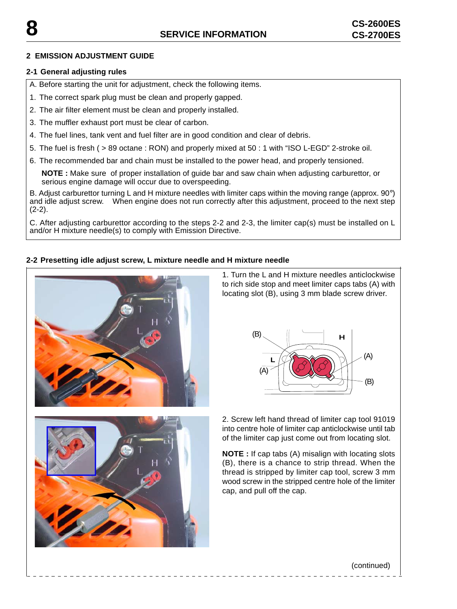#### **2 EMISSION ADJUSTMENT GUIDE**

#### **2-1 General adjusting rules**

A. Before starting the unit for adjustment, check the following items.

1. The correct spark plug must be clean and properly gapped.

2. The air filter element must be clean and properly installed.

3. The muffler exhaust port must be clear of carbon.

- 4. The fuel lines, tank vent and fuel filter are in good condition and clear of debris.
- 5. The fuel is fresh ( > 89 octane : RON) and properly mixed at 50 : 1 with "ISO L-EGD" 2-stroke oil.
- 6. The recommended bar and chain must be installed to the power head, and properly tensioned.

**NOTE :** Make sure of proper installation of guide bar and saw chain when adjusting carburettor, or serious engine damage will occur due to overspeeding.

B. Adjust carburettor turning L and H mixture needles with limiter caps within the moving range (approx. 90°) and idle adjust screw. When engine does not run correctly after this adjustment, proceed to the next step  $(2-2)$ .

C. After adjusting carburettor according to the steps 2-2 and 2-3, the limiter cap(s) must be installed on L and/or H mixture needle(s) to comply with Emission Directive.

#### **2-2 Presetting idle adjust screw, L mixture needle and H mixture needle**



1. Turn the L and H mixture needles anticlockwise to rich side stop and meet limiter caps tabs (A) with locating slot (B), using 3 mm blade screw driver.





2. Screw left hand thread of limiter cap tool 91019 into centre hole of limiter cap anticlockwise until tab of the limiter cap just come out from locating slot.

**NOTE :** If cap tabs (A) misalign with locating slots (B), there is a chance to strip thread. When the thread is stripped by limiter cap tool, screw 3 mm wood screw in the stripped centre hole of the limiter cap, and pull off the cap.

#### (continued)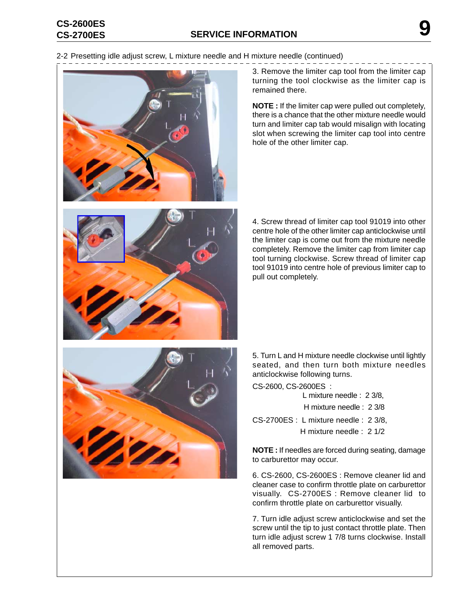# **SERVICE INFORMATION CS-2700ES 9 CS-2600ES**

2-2 Presetting idle adjust screw, L mixture needle and H mixture needle (continued)





**NOTE :** If the limiter cap were pulled out completely, there is a chance that the other mixture needle would turn and limiter cap tab would misalign with locating slot when screwing the limiter cap tool into centre hole of the other limiter cap.



4. Screw thread of limiter cap tool 91019 into other centre hole of the other limiter cap anticlockwise until the limiter cap is come out from the mixture needle completely. Remove the limiter cap from limiter cap tool turning clockwise. Screw thread of limiter cap tool 91019 into centre hole of previous limiter cap to pull out completely.



5. Turn L and H mixture needle clockwise until lightly seated, and then turn both mixture needles anticlockwise following turns.

CS-2600, CS-2600ES :

L mixture needle : 2 3/8,

H mixture needle : 2 3/8

CS-2700ES : L mixture needle : 2 3/8, H mixture needle : 2 1/2

**NOTE :** If needles are forced during seating, damage to carburettor may occur.

6. CS-2600, CS-2600ES : Remove cleaner lid and cleaner case to confirm throttle plate on carburettor visually. CS-2700ES : Remove cleaner lid to confirm throttle plate on carburettor visually.

7. Turn idle adjust screw anticlockwise and set the screw until the tip to just contact throttle plate. Then turn idle adjust screw 1 7/8 turns clockwise. Install all removed parts.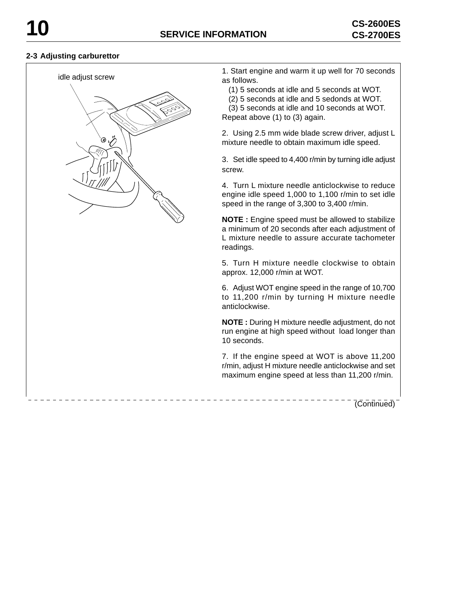\_\_\_\_\_\_\_\_\_\_\_\_\_\_\_\_\_\_\_\_\_\_\_\_\_

#### **2-3 Adjusting carburettor**

idle adjust screw



1. Start engine and warm it up well for 70 seconds as follows.

(1) 5 seconds at idle and 5 seconds at WOT.

(2) 5 seconds at idle and 5 sedonds at WOT.

 (3) 5 seconds at idle and 10 seconds at WOT. Repeat above (1) to (3) again.

2. Using 2.5 mm wide blade screw driver, adjust L mixture needle to obtain maximum idle speed.

3. Set idle speed to 4,400 r/min by turning idle adjust screw.

4. Turn L mixture needle anticlockwise to reduce engine idle speed 1,000 to 1,100 r/min to set idle speed in the range of 3,300 to 3,400 r/min.

**NOTE :** Engine speed must be allowed to stabilize a minimum of 20 seconds after each adjustment of L mixture needle to assure accurate tachometer readings.

5. Turn H mixture needle clockwise to obtain approx. 12,000 r/min at WOT.

6. Adjust WOT engine speed in the range of 10,700 to 11,200 r/min by turning H mixture needle anticlockwise.

**NOTE :** During H mixture needle adjustment, do not run engine at high speed without load longer than 10 seconds.

7. If the engine speed at WOT is above 11,200 r/min, adjust H mixture needle anticlockwise and set maximum engine speed at less than 11,200 r/min.

(Continued)